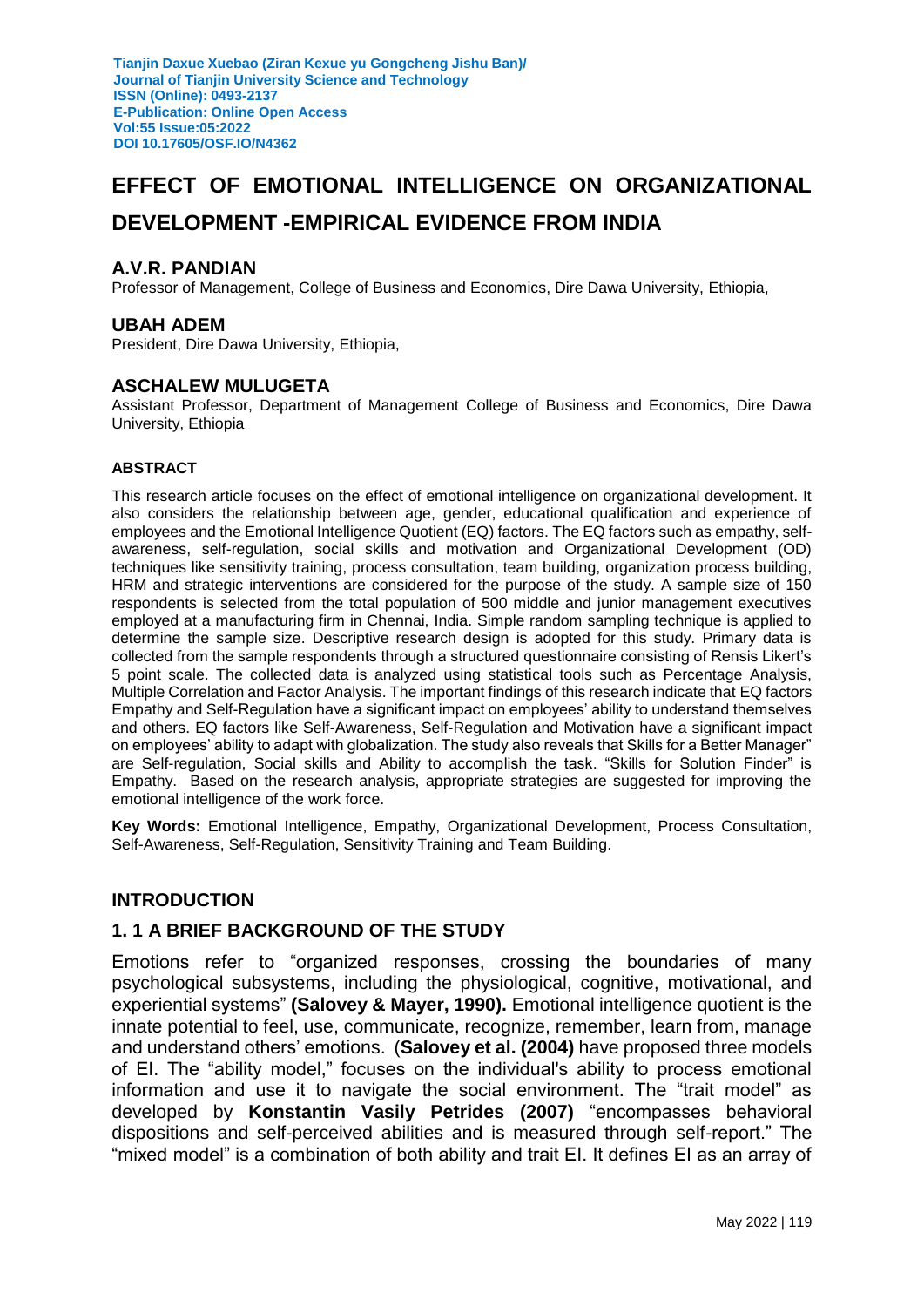# **EFFECT OF EMOTIONAL INTELLIGENCE ON ORGANIZATIONAL DEVELOPMENT -EMPIRICAL EVIDENCE FROM INDIA**

#### **A.V.R. PANDIAN**

Professor of Management, College of Business and Economics, Dire Dawa University, Ethiopia,

#### **UBAH ADEM**

President, Dire Dawa University, Ethiopia,

#### **ASCHALEW MULUGETA**

Assistant Professor, Department of Management College of Business and Economics, Dire Dawa University, Ethiopia

#### **ABSTRACT**

This research article focuses on the effect of emotional intelligence on organizational development. It also considers the relationship between age, gender, educational qualification and experience of employees and the Emotional Intelligence Quotient (EQ) factors. The EQ factors such as empathy, selfawareness, self-regulation, social skills and motivation and Organizational Development (OD) techniques like sensitivity training, process consultation, team building, organization process building, HRM and strategic interventions are considered for the purpose of the study. A sample size of 150 respondents is selected from the total population of 500 middle and junior management executives employed at a manufacturing firm in Chennai, India. Simple random sampling technique is applied to determine the sample size. Descriptive research design is adopted for this study. Primary data is collected from the sample respondents through a structured questionnaire consisting of Rensis Likert's 5 point scale. The collected data is analyzed using statistical tools such as Percentage Analysis, Multiple Correlation and Factor Analysis. The important findings of this research indicate that EQ factors Empathy and Self-Regulation have a significant impact on employees' ability to understand themselves and others. EQ factors like Self-Awareness, Self-Regulation and Motivation have a significant impact on employees' ability to adapt with globalization. The study also reveals that Skills for a Better Manager" are Self-regulation, Social skills and Ability to accomplish the task. "Skills for Solution Finder" is Empathy. Based on the research analysis, appropriate strategies are suggested for improving the emotional intelligence of the work force.

**Key Words:** Emotional Intelligence, Empathy, Organizational Development, Process Consultation, Self-Awareness, Self-Regulation, Sensitivity Training and Team Building.

#### **INTRODUCTION**

### **1. 1 A BRIEF BACKGROUND OF THE STUDY**

Emotions refer to "organized responses, crossing the boundaries of many psychological subsystems, including the physiological, cognitive, motivational, and experiential systems" **(Salovey & Mayer, 1990).** Emotional intelligence quotient is the innate potential to feel, use, communicate, recognize, remember, learn from, manage and understand others' emotions. (**Salovey et al. (2004)** have proposed three models of EI. The "ability model," focuses on the individual's ability to process emotional information and use it to navigate the social environment. The "trait model" as developed by **Konstantin Vasily Petrides (2007)** "encompasses behavioral dispositions and self-perceived abilities and is measured through self-report." The "mixed model" is a combination of both ability and trait EI. It defines EI as an array of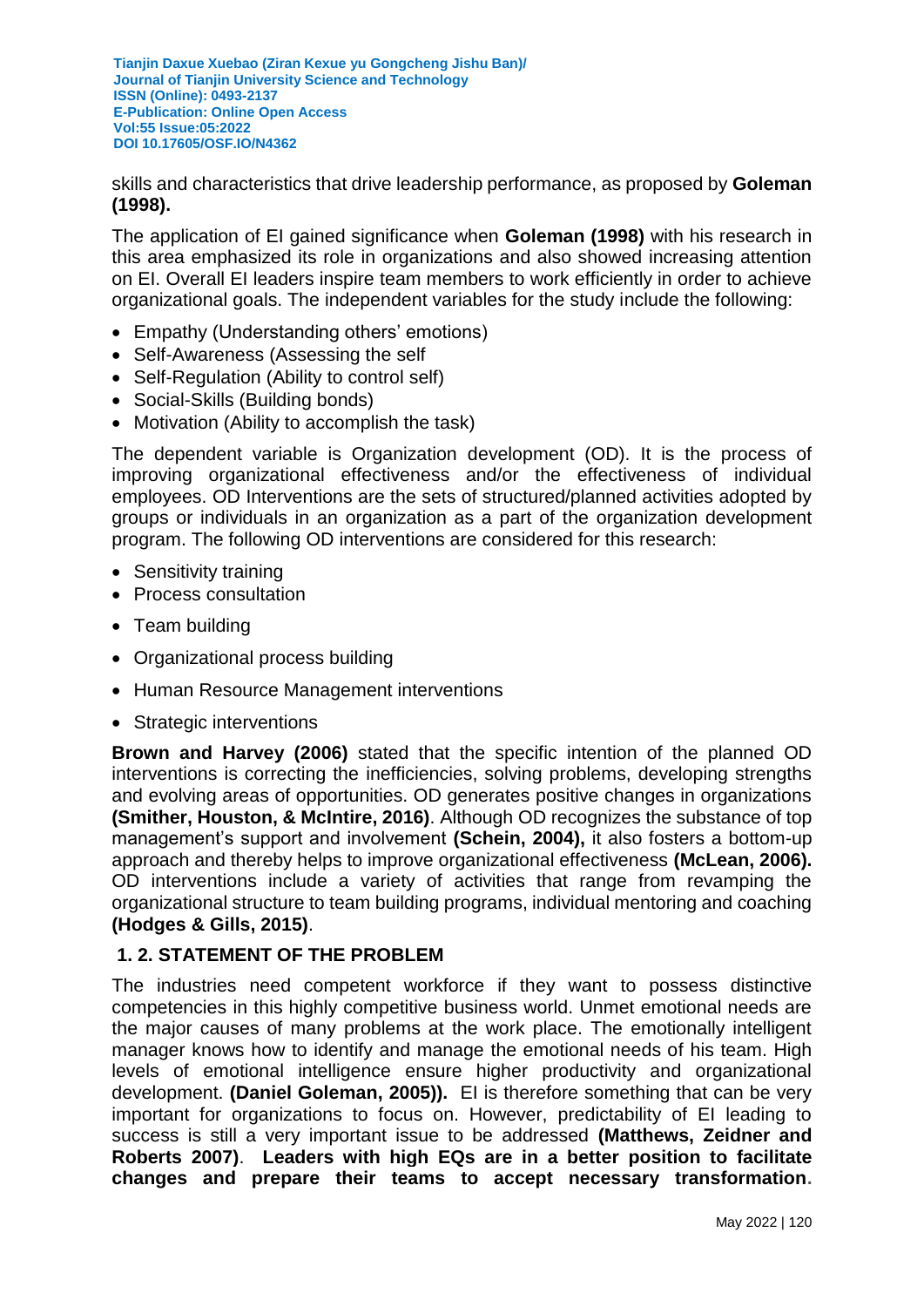skills and characteristics that drive leadership performance, as proposed by **Goleman (1998).**

The application of EI gained significance when **Goleman (1998)** with his research in this area emphasized its role in organizations and also showed increasing attention on EI. Overall EI leaders inspire team members to work efficiently in order to achieve organizational goals. The independent variables for the study include the following:

- Empathy (Understanding others' emotions)
- Self-Awareness (Assessing the self
- Self-Regulation (Ability to control self)
- Social-Skills (Building bonds)
- Motivation (Ability to accomplish the task)

The dependent variable is Organization development (OD). It is the process of improving organizational effectiveness and/or the effectiveness of individual employees. OD Interventions are the sets of structured/planned activities adopted by groups or individuals in an organization as a part of the organization development program. The following OD interventions are considered for this research:

- Sensitivity training
- Process consultation
- Team building
- Organizational process building
- Human Resource Management interventions
- Strategic interventions

**Brown and Harvey (2006)** stated that the specific intention of the planned OD interventions is correcting the inefficiencies, solving problems, developing strengths and evolving areas of opportunities. OD generates positive changes in organizations **(Smither, Houston, & McIntire, 2016)**. Although OD recognizes the substance of top management's support and involvement **(Schein, 2004),** it also fosters a bottom-up approach and thereby helps to improve organizational effectiveness **(McLean, 2006).**  OD interventions include a variety of activities that range from revamping the organizational structure to team building programs, individual mentoring and coaching **(Hodges & Gills, 2015)**.

### **1. 2. STATEMENT OF THE PROBLEM**

The industries need competent workforce if they want to possess distinctive competencies in this highly competitive business world. Unmet emotional needs are the major causes of many problems at the work place. The emotionally intelligent manager knows how to identify and manage the emotional needs of his team. High levels of emotional intelligence ensure higher productivity and organizational development. **[\(Daniel Goleman,](http://www.amazon.com/Daniel-Goleman/e/B000APZC9O/ref=dp_byline_cont_book_1) 2005)).** EI is therefore something that can be very important for organizations to focus on. However, predictability of EI leading to success is still a very important issue to be addressed **(Matthews, Zeidner and Roberts 2007)**. **Leaders with high EQs are in a better position to facilitate changes and prepare their teams to accept necessary transformation.**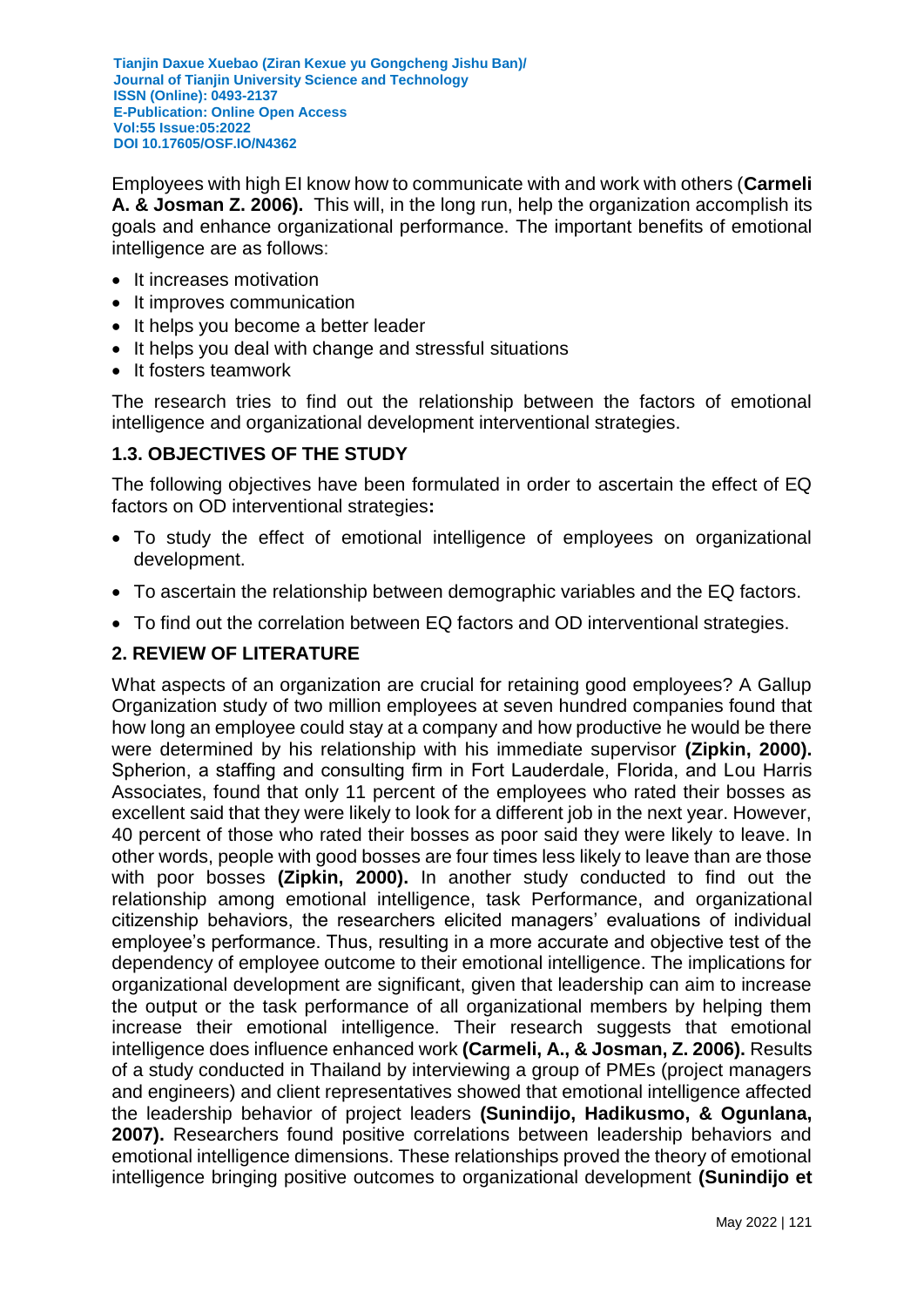Employees with high EI know how to communicate with and work with others (**Carmeli A. & Josman Z. 2006).** This will, in the long run, help the organization accomplish its goals and enhance organizational performance. The important benefits of emotional intelligence are as follows:

- It increases motivation
- It improves communication
- It helps you become a better leader
- It helps you deal with change and stressful situations
- It fosters teamwork

The research tries to find out the relationship between the factors of emotional intelligence and organizational development interventional strategies.

### **1.3. OBJECTIVES OF THE STUDY**

The following objectives have been formulated in order to ascertain the effect of EQ factors on OD interventional strategies**:**

- To study the effect of emotional intelligence of employees on organizational development.
- To ascertain the relationship between demographic variables and the EQ factors.
- To find out the correlation between EQ factors and OD interventional strategies.

# **2. REVIEW OF LITERATURE**

What aspects of an organization are crucial for retaining good employees? A Gallup Organization study of two million employees at seven hundred companies found that how long an employee could stay at a company and how productive he would be there were determined by his relationship with his immediate supervisor **(Zipkin, 2000).** Spherion, a staffing and consulting firm in Fort Lauderdale, Florida, and Lou Harris Associates, found that only 11 percent of the employees who rated their bosses as excellent said that they were likely to look for a different job in the next year. However, 40 percent of those who rated their bosses as poor said they were likely to leave. In other words, people with good bosses are four times less likely to leave than are those with poor bosses **(Zipkin, 2000).** In another study conducted to find out the relationship among emotional intelligence, task Performance, and organizational citizenship behaviors, the researchers elicited managers' evaluations of individual employee's performance. Thus, resulting in a more accurate and objective test of the dependency of employee outcome to their emotional intelligence. The implications for organizational development are significant, given that leadership can aim to increase the output or the task performance of all organizational members by helping them increase their emotional intelligence. Their research suggests that emotional intelligence does influence enhanced work **(Carmeli, A., & Josman, Z. 2006).** Results of a study conducted in Thailand by interviewing a group of PMEs (project managers and engineers) and client representatives showed that emotional intelligence affected the leadership behavior of project leaders **(Sunindijo, Hadikusmo, & Ogunlana, 2007).** Researchers found positive correlations between leadership behaviors and emotional intelligence dimensions. These relationships proved the theory of emotional intelligence bringing positive outcomes to organizational development **(Sunindijo et**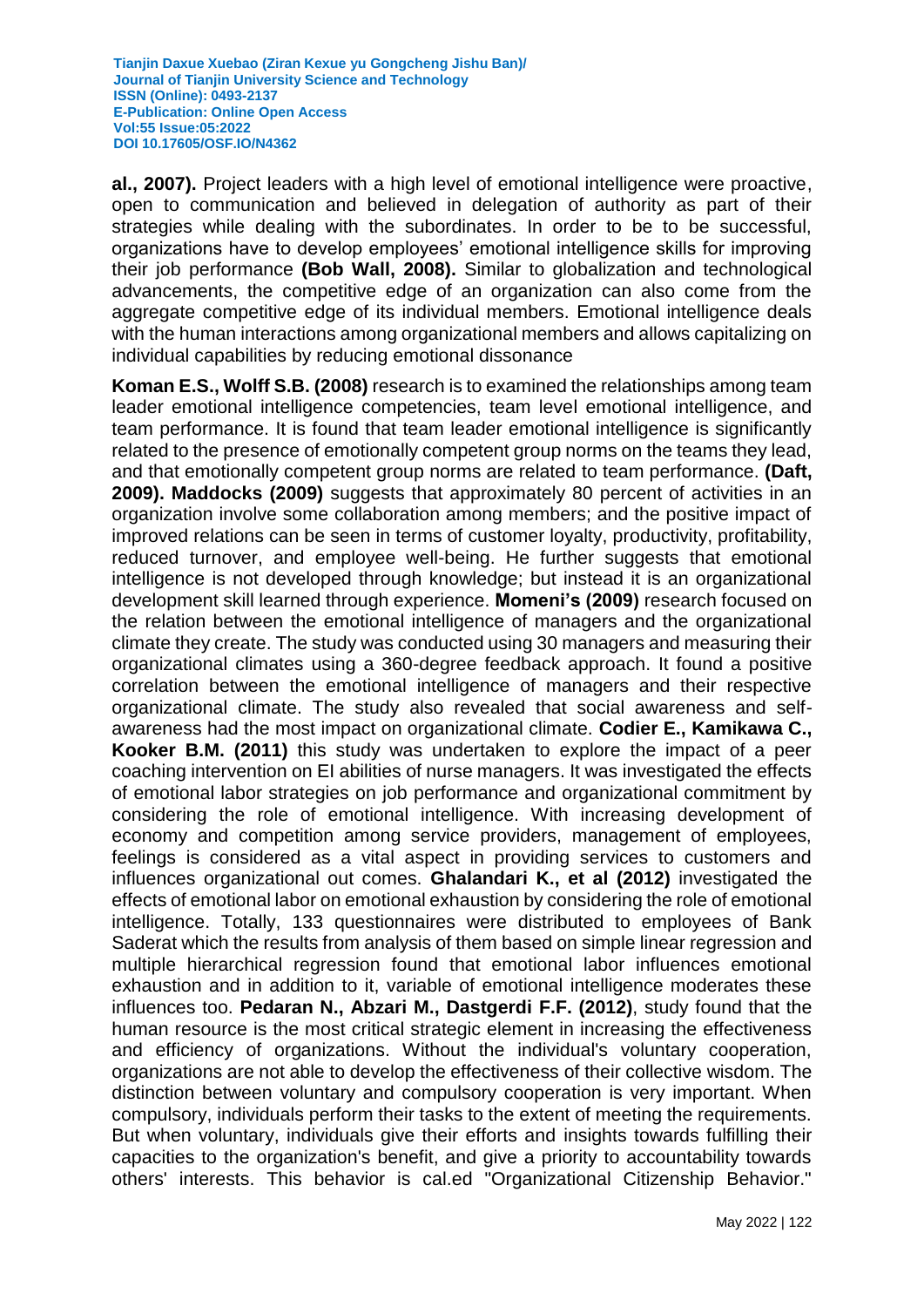**al., 2007).** Project leaders with a high level of emotional intelligence were proactive, open to communication and believed in delegation of authority as part of their strategies while dealing with the subordinates. In order to be to be successful, organizations have to develop employees' emotional intelligence skills for improving their job performance **(Bob Wall, 2008).** Similar to globalization and technological advancements, the competitive edge of an organization can also come from the aggregate competitive edge of its individual members. Emotional intelligence deals with the human interactions among organizational members and allows capitalizing on individual capabilities by reducing emotional dissonance

**Koman E.S., Wolff S.B. (2008)** research is to examined the relationships among team leader emotional intelligence competencies, team level emotional intelligence, and team performance. It is found that team leader emotional intelligence is significantly related to the presence of emotionally competent group norms on the teams they lead, and that emotionally competent group norms are related to team performance. **(Daft, 2009). Maddocks (2009)** suggests that approximately 80 percent of activities in an organization involve some collaboration among members; and the positive impact of improved relations can be seen in terms of customer loyalty, productivity, profitability, reduced turnover, and employee well-being. He further suggests that emotional intelligence is not developed through knowledge; but instead it is an organizational development skill learned through experience. **Momeni's (2009)** research focused on the relation between the emotional intelligence of managers and the organizational climate they create. The study was conducted using 30 managers and measuring their organizational climates using a 360-degree feedback approach. It found a positive correlation between the emotional intelligence of managers and their respective organizational climate. The study also revealed that social awareness and selfawareness had the most impact on organizational climate. **Codier E., Kamikawa C., Kooker B.M. (2011)** this study was undertaken to explore the impact of a peer coaching intervention on EI abilities of nurse managers. It was investigated the effects of emotional labor strategies on job performance and organizational commitment by considering the role of emotional intelligence. With increasing development of economy and competition among service providers, management of employees, feelings is considered as a vital aspect in providing services to customers and influences organizational out comes. **Ghalandari K., et al (2012)** investigated the effects of emotional labor on emotional exhaustion by considering the role of emotional intelligence. Totally, 133 questionnaires were distributed to employees of Bank Saderat which the results from analysis of them based on simple linear regression and multiple hierarchical regression found that emotional labor influences emotional exhaustion and in addition to it, variable of emotional intelligence moderates these influences too. **Pedaran N., Abzari M., Dastgerdi F.F. (2012)**, study found that the human resource is the most critical strategic element in increasing the effectiveness and efficiency of organizations. Without the individual's voluntary cooperation, organizations are not able to develop the effectiveness of their collective wisdom. The distinction between voluntary and compulsory cooperation is very important. When compulsory, individuals perform their tasks to the extent of meeting the requirements. But when voluntary, individuals give their efforts and insights towards fulfilling their capacities to the organization's benefit, and give a priority to accountability towards others' interests. This behavior is cal.ed "Organizational Citizenship Behavior."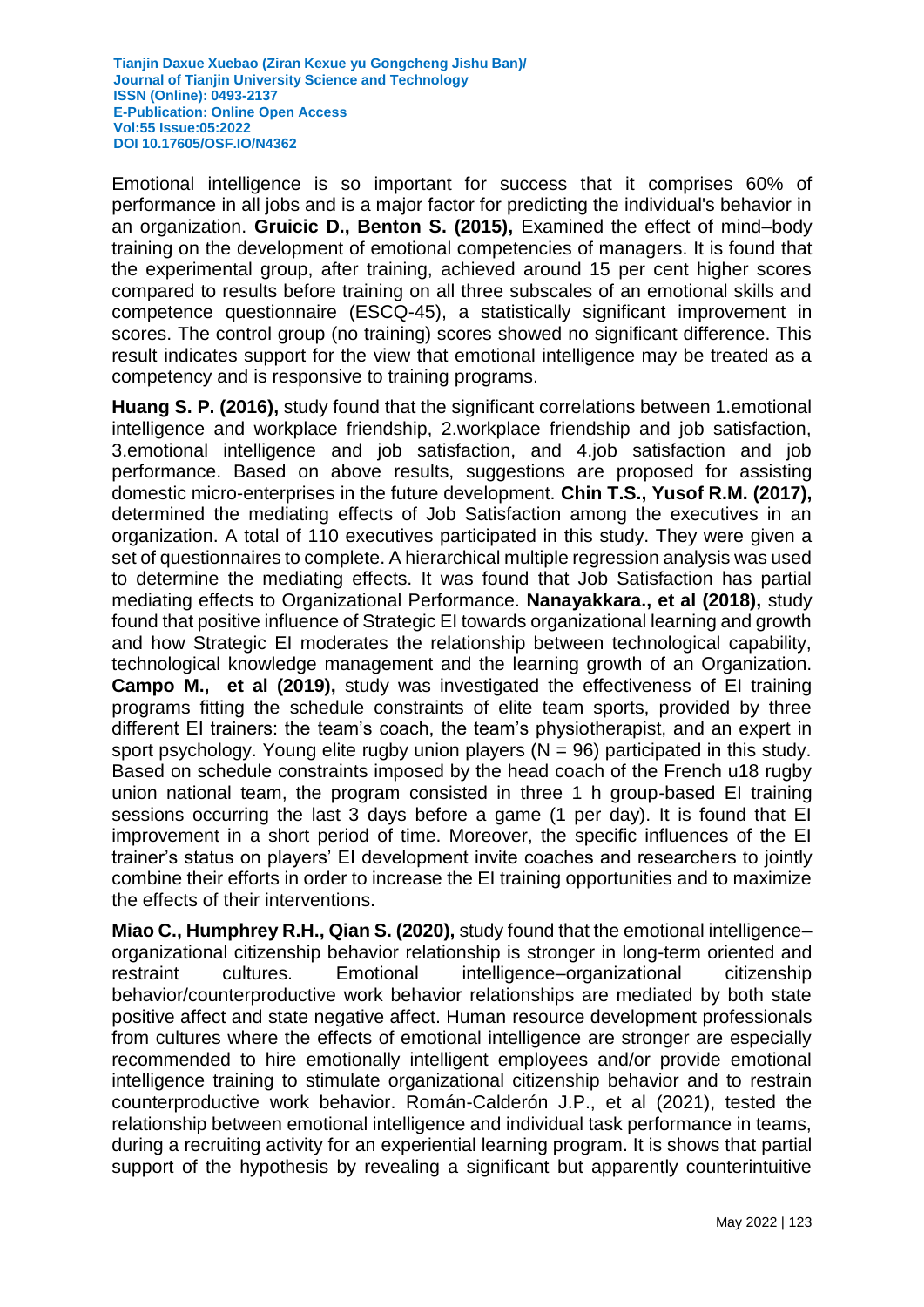Emotional intelligence is so important for success that it comprises 60% of performance in all jobs and is a major factor for predicting the individual's behavior in an organization. **Gruicic D., Benton S. (2015),** Examined the effect of mind–body training on the development of emotional competencies of managers. It is found that the experimental group, after training, achieved around 15 per cent higher scores compared to results before training on all three subscales of an emotional skills and competence questionnaire (ESCQ-45), a statistically significant improvement in scores. The control group (no training) scores showed no significant difference. This result indicates support for the view that emotional intelligence may be treated as a competency and is responsive to training programs.

**Huang S. P. (2016),** study found that the significant correlations between 1.emotional intelligence and workplace friendship, 2.workplace friendship and job satisfaction, 3.emotional intelligence and job satisfaction, and 4.job satisfaction and job performance. Based on above results, suggestions are proposed for assisting domestic micro-enterprises in the future development. **Chin T.S., Yusof R.M. (2017),**  determined the mediating effects of Job Satisfaction among the executives in an organization. A total of 110 executives participated in this study. They were given a set of questionnaires to complete. A hierarchical multiple regression analysis was used to determine the mediating effects. It was found that Job Satisfaction has partial mediating effects to Organizational Performance. **Nanayakkara., et al (2018),** study found that positive influence of Strategic EI towards organizational learning and growth and how Strategic EI moderates the relationship between technological capability, technological knowledge management and the learning growth of an Organization. **Campo M., et al (2019),** study was investigated the effectiveness of EI training programs fitting the schedule constraints of elite team sports, provided by three different EI trainers: the team's coach, the team's physiotherapist, and an expert in sport psychology. Young elite rugby union players  $(N = 96)$  participated in this study. Based on schedule constraints imposed by the head coach of the French u18 rugby union national team, the program consisted in three 1 h group-based EI training sessions occurring the last 3 days before a game (1 per day). It is found that EI improvement in a short period of time. Moreover, the specific influences of the EI trainer's status on players' EI development invite coaches and researchers to jointly combine their efforts in order to increase the EI training opportunities and to maximize the effects of their interventions.

**Miao C., Humphrey R.H., Qian S. (2020),** study found that the emotional intelligence– organizational citizenship behavior relationship is stronger in long-term oriented and restraint cultures. Emotional intelligence–organizational citizenship behavior/counterproductive work behavior relationships are mediated by both state positive affect and state negative affect. Human resource development professionals from cultures where the effects of emotional intelligence are stronger are especially recommended to hire emotionally intelligent employees and/or provide emotional intelligence training to stimulate organizational citizenship behavior and to restrain counterproductive work behavior. Román-Calderón J.P., et al (2021), tested the relationship between emotional intelligence and individual task performance in teams, during a recruiting activity for an experiential learning program. It is shows that partial support of the hypothesis by revealing a significant but apparently counterintuitive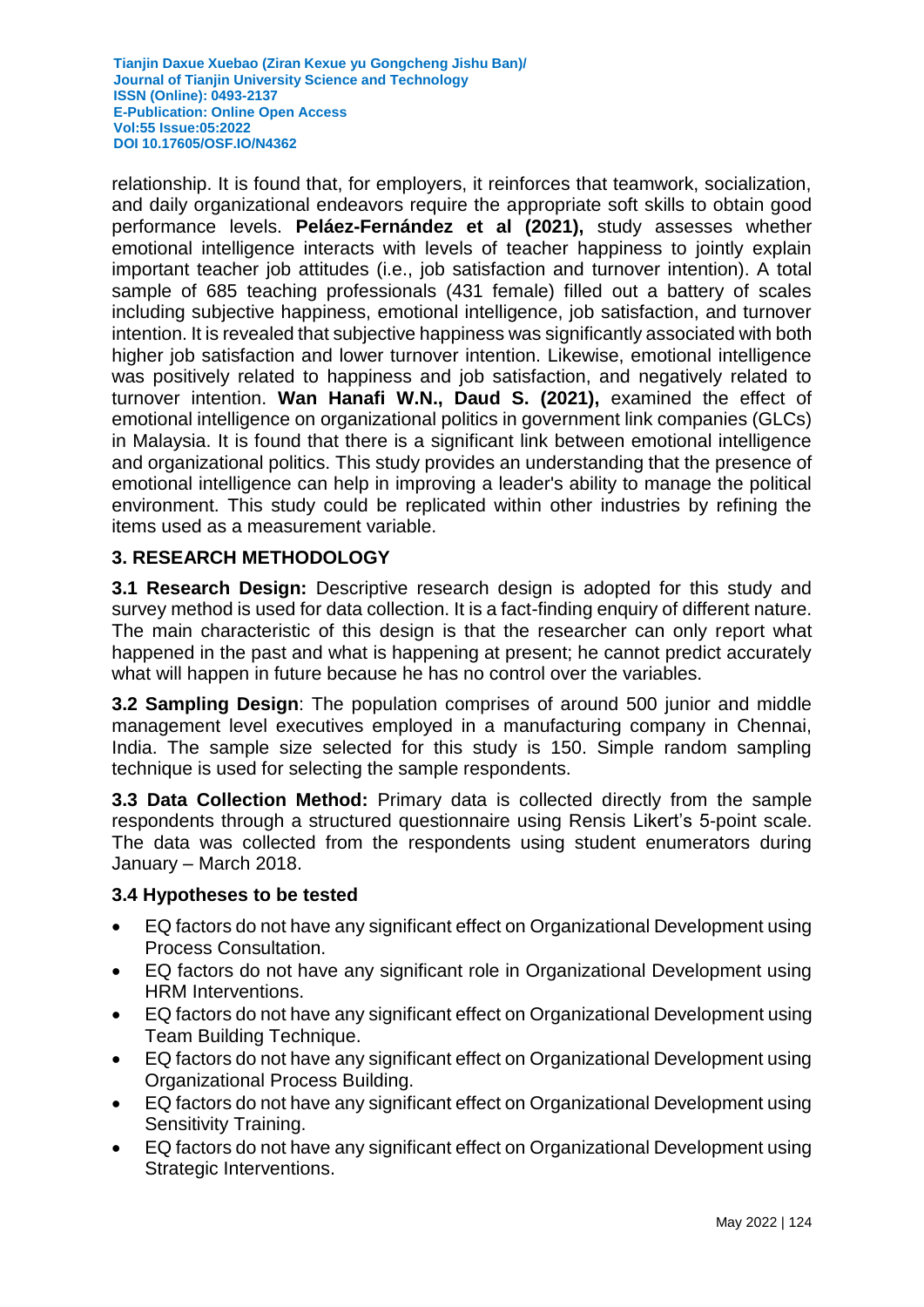relationship. It is found that, for employers, it reinforces that teamwork, socialization, and daily organizational endeavors require the appropriate soft skills to obtain good performance levels. **Peláez-Fernández et al (2021),** study assesses whether emotional intelligence interacts with levels of teacher happiness to jointly explain important teacher job attitudes (i.e., job satisfaction and turnover intention). A total sample of 685 teaching professionals (431 female) filled out a battery of scales including subjective happiness, emotional intelligence, job satisfaction, and turnover intention. It is revealed that subjective happiness was significantly associated with both higher job satisfaction and lower turnover intention. Likewise, emotional intelligence was positively related to happiness and job satisfaction, and negatively related to turnover intention. **Wan Hanafi W.N., Daud S. (2021),** examined the effect of emotional intelligence on organizational politics in government link companies (GLCs) in Malaysia. It is found that there is a significant link between emotional intelligence and organizational politics. This study provides an understanding that the presence of emotional intelligence can help in improving a leader's ability to manage the political environment. This study could be replicated within other industries by refining the items used as a measurement variable.

### **3. RESEARCH METHODOLOGY**

**3.1 Research Design:** Descriptive research design is adopted for this study and survey method is used for data collection. It is a fact-finding enquiry of different nature. The main characteristic of this design is that the researcher can only report what happened in the past and what is happening at present; he cannot predict accurately what will happen in future because he has no control over the variables.

**3.2 Sampling Design**: The population comprises of around 500 junior and middle management level executives employed in a manufacturing company in Chennai, India. The sample size selected for this study is 150. Simple random sampling technique is used for selecting the sample respondents.

**3.3 Data Collection Method:** Primary data is collected directly from the sample respondents through a structured questionnaire using Rensis Likert's 5-point scale. The data was collected from the respondents using student enumerators during January – March 2018.

### **3.4 Hypotheses to be tested**

- EQ factors do not have any significant effect on Organizational Development using Process Consultation.
- EQ factors do not have any significant role in Organizational Development using HRM Interventions.
- EQ factors do not have any significant effect on Organizational Development using Team Building Technique.
- EQ factors do not have any significant effect on Organizational Development using Organizational Process Building.
- EQ factors do not have any significant effect on Organizational Development using Sensitivity Training.
- EQ factors do not have any significant effect on Organizational Development using Strategic Interventions.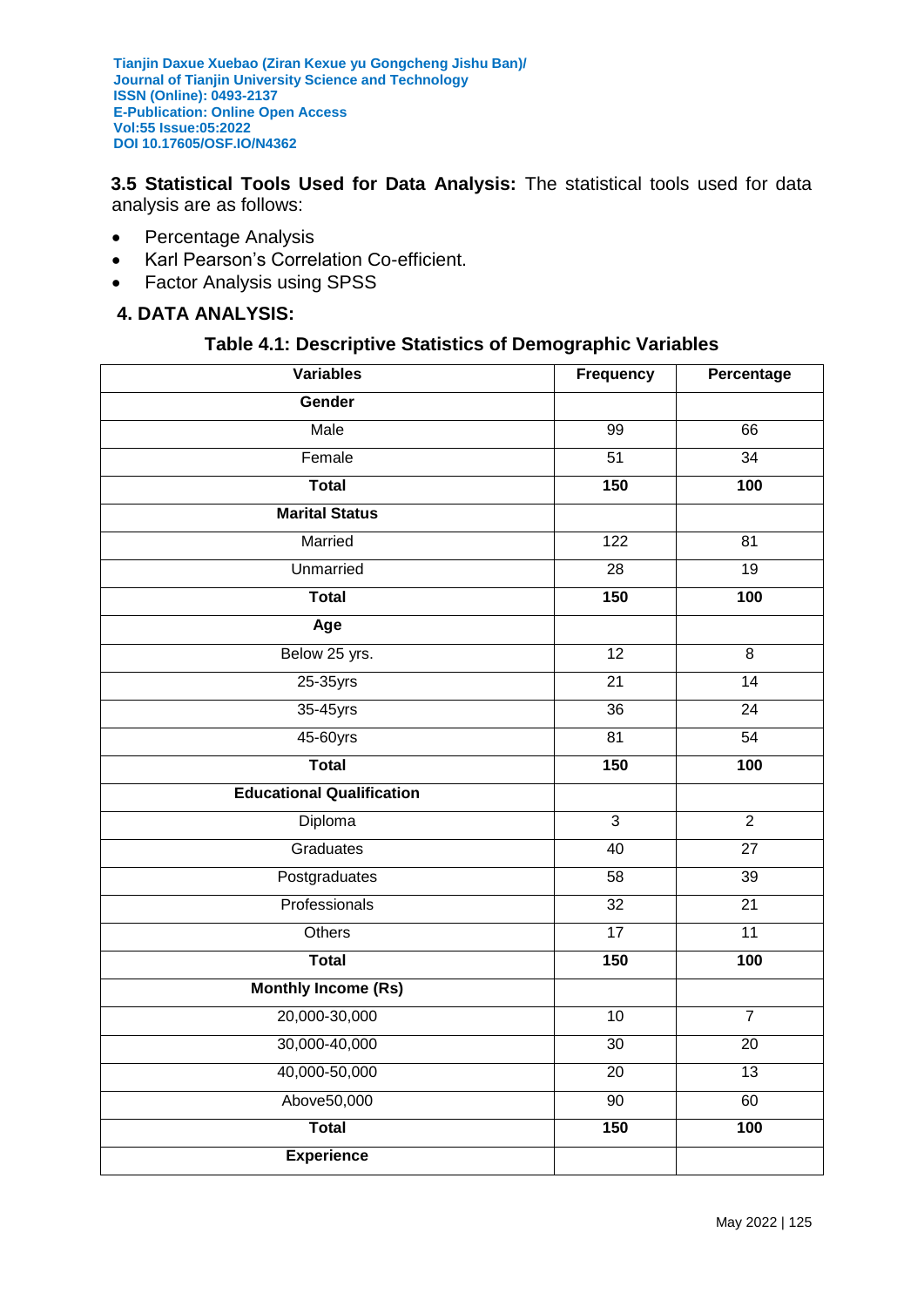**3.5 Statistical Tools Used for Data Analysis:** The statistical tools used for data analysis are as follows:

- Percentage Analysis
- Karl Pearson's Correlation Co-efficient.
- Factor Analysis using SPSS

### **4. DATA ANALYSIS:**

#### **Table 4.1: Descriptive Statistics of Demographic Variables**

| <b>Variables</b>                 | Frequency       | Percentage      |
|----------------------------------|-----------------|-----------------|
| Gender                           |                 |                 |
| Male                             | 99              | 66              |
| Female                           | 51              | 34              |
| <b>Total</b>                     | 150             | 100             |
| <b>Marital Status</b>            |                 |                 |
| Married                          | 122             | 81              |
| Unmarried                        | 28              | 19              |
| <b>Total</b>                     | 150             | 100             |
| Age                              |                 |                 |
| Below 25 yrs.                    | $\overline{12}$ | 8               |
| 25-35yrs                         | $\overline{21}$ | $\overline{14}$ |
| 35-45yrs                         | 36              | $\overline{24}$ |
| 45-60yrs                         | $\overline{81}$ | $\overline{54}$ |
| <b>Total</b>                     | 150             | 100             |
| <b>Educational Qualification</b> |                 |                 |
| Diploma                          | $\overline{3}$  | $\overline{2}$  |
| Graduates                        | $\overline{40}$ | $\overline{27}$ |
| Postgraduates                    | 58              | 39              |
| Professionals                    | 32              | $\overline{21}$ |
| Others                           | 17              | 11              |
| <b>Total</b>                     | 150             | 100             |
| <b>Monthly Income (Rs)</b>       |                 |                 |
| 20,000-30,000                    | 10              | $\overline{7}$  |
| 30,000-40,000                    | $\overline{30}$ | $\overline{20}$ |
| 40,000-50,000                    | $\overline{20}$ | 13              |
| Above50,000                      | 90              | 60              |
| <b>Total</b>                     | 150             | 100             |
| <b>Experience</b>                |                 |                 |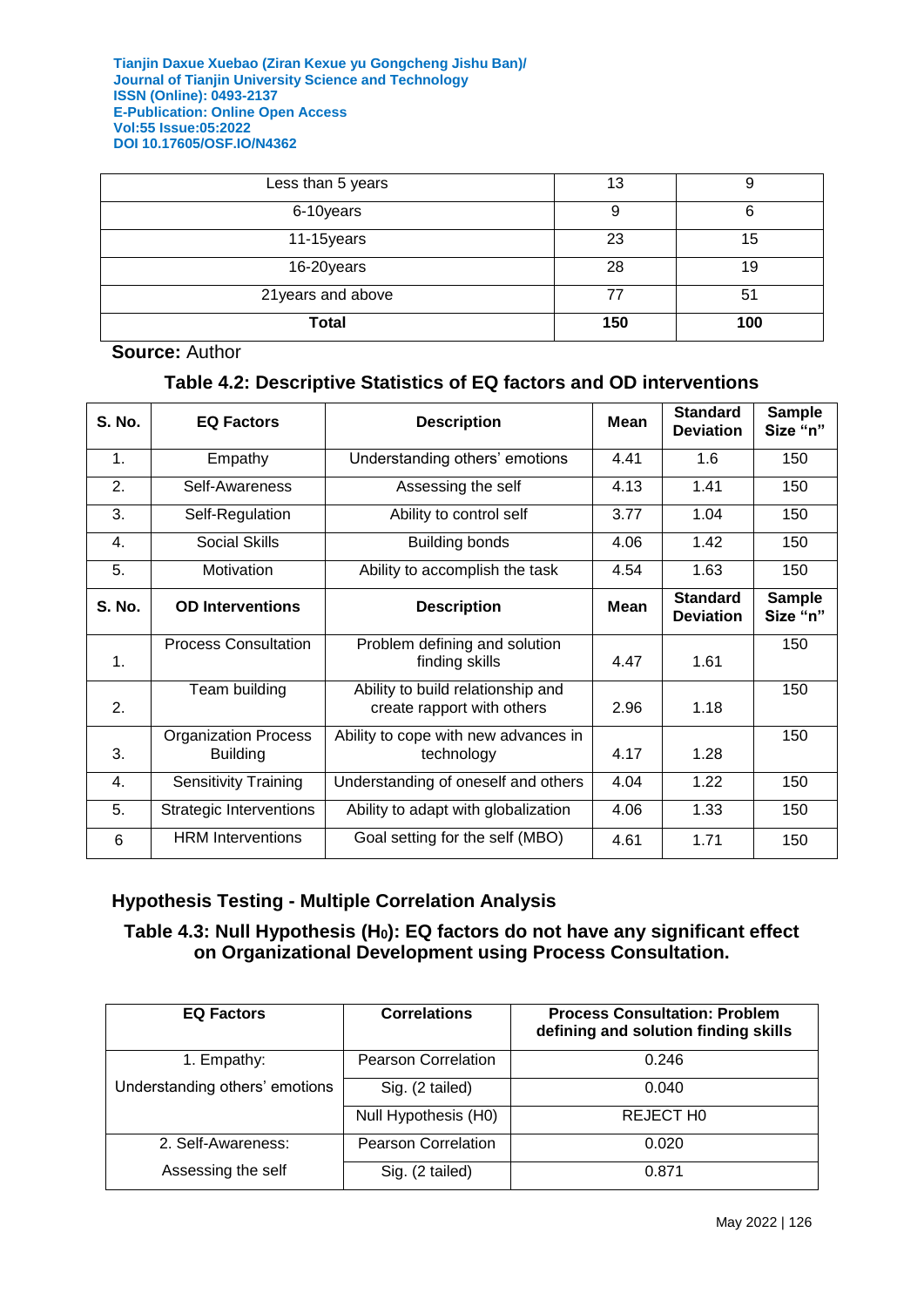| Less than 5 years  | 13  |     |
|--------------------|-----|-----|
| 6-10years          | g   |     |
| 11-15years         | 23  | 15  |
| 16-20years         | 28  | 19  |
| 21 years and above | 77  | 51  |
| <b>Total</b>       | 150 | 100 |

### **Source:** Author

### **Table 4.2: Descriptive Statistics of EQ factors and OD interventions**

| <b>S. No.</b> | <b>EQ Factors</b>                              | <b>Description</b>                                              | Mean        | <b>Standard</b><br><b>Deviation</b> | <b>Sample</b><br>Size "n" |
|---------------|------------------------------------------------|-----------------------------------------------------------------|-------------|-------------------------------------|---------------------------|
| 1.            | Empathy                                        | Understanding others' emotions                                  | 4.41        | 1.6                                 | 150                       |
| 2.            | Self-Awareness                                 | Assessing the self                                              | 4.13        | 1.41                                | 150                       |
| 3.            | Self-Regulation                                | Ability to control self                                         | 3.77        | 1.04                                | 150                       |
| 4.            | <b>Social Skills</b>                           | <b>Building bonds</b>                                           | 4.06        | 1.42                                | 150                       |
| 5.            | Motivation                                     | Ability to accomplish the task                                  | 4.54        | 1.63                                | 150                       |
| <b>S. No.</b> | <b>OD Interventions</b>                        | <b>Description</b>                                              | <b>Mean</b> | <b>Standard</b><br><b>Deviation</b> | <b>Sample</b><br>Size "n" |
| $\mathbf 1$ . | <b>Process Consultation</b>                    | Problem defining and solution<br>finding skills                 | 4.47        | 1.61                                | 150                       |
| 2.            | Team building                                  | Ability to build relationship and<br>create rapport with others | 2.96        | 1.18                                | 150                       |
| 3.            | <b>Organization Process</b><br><b>Building</b> | Ability to cope with new advances in<br>technology              | 4.17        | 1.28                                | 150                       |
| 4.            | <b>Sensitivity Training</b>                    | Understanding of oneself and others                             | 4.04        | 1.22                                | 150                       |
| 5.            | <b>Strategic Interventions</b>                 | Ability to adapt with globalization                             | 4.06        | 1.33                                | 150                       |
| 6             | <b>HRM</b> Interventions                       | Goal setting for the self (MBO)                                 | 4.61        | 1.71                                | 150                       |

# **Hypothesis Testing - Multiple Correlation Analysis**

# **Table 4.3: Null Hypothesis (H0): EQ factors do not have any significant effect on Organizational Development using Process Consultation.**

| <b>EQ Factors</b>              | <b>Correlations</b>        | <b>Process Consultation: Problem</b><br>defining and solution finding skills |
|--------------------------------|----------------------------|------------------------------------------------------------------------------|
| 1. Empathy:                    | <b>Pearson Correlation</b> | 0.246                                                                        |
| Understanding others' emotions | Sig. (2 tailed)            | 0.040                                                                        |
|                                | Null Hypothesis (H0)       | REJECT HO                                                                    |
| 2. Self-Awareness:             | <b>Pearson Correlation</b> | 0.020                                                                        |
| Assessing the self             | Sig. (2 tailed)            | 0.871                                                                        |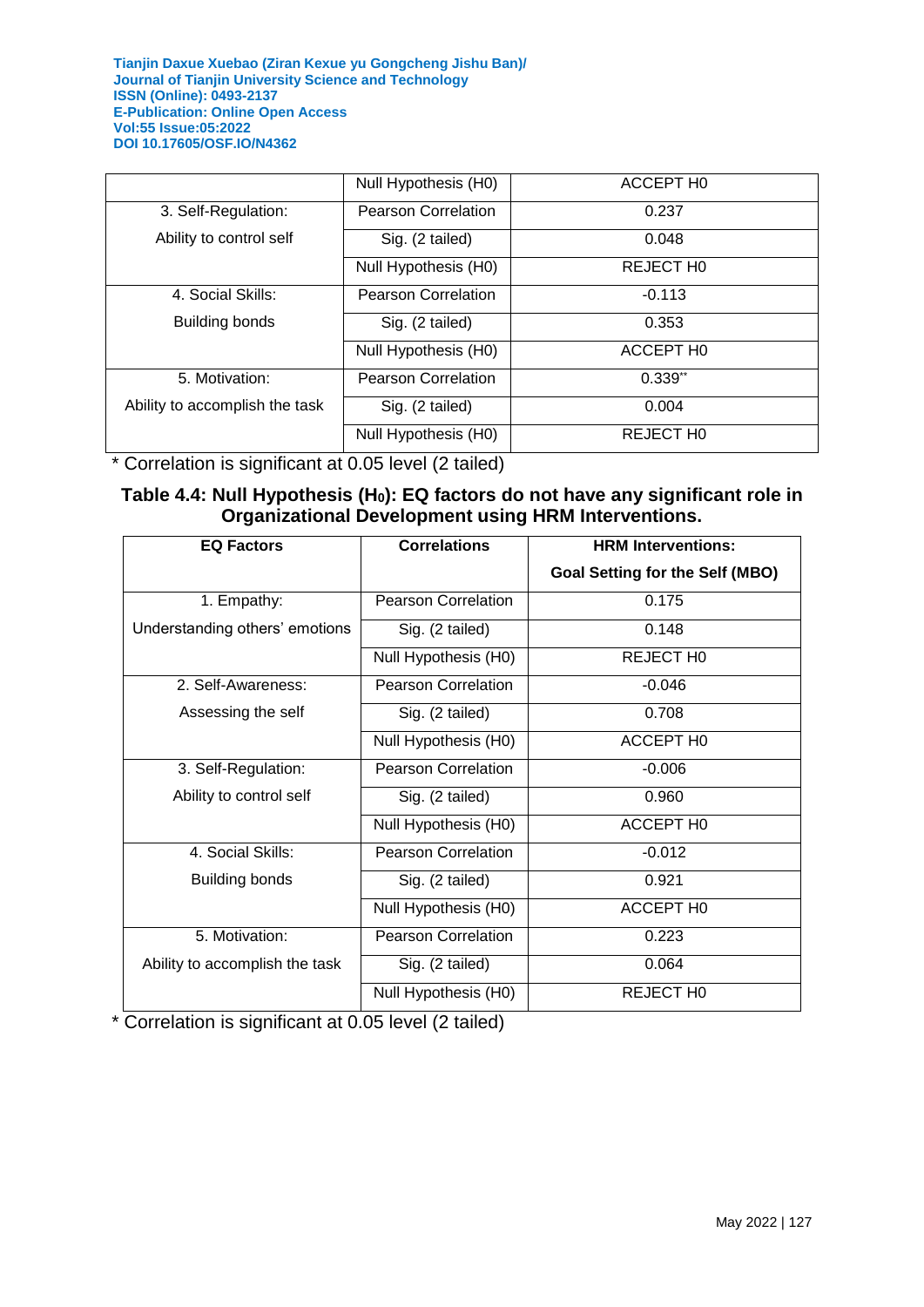|                                | Null Hypothesis (H0)       | ACCEPT HO |
|--------------------------------|----------------------------|-----------|
| 3. Self-Regulation:            | <b>Pearson Correlation</b> | 0.237     |
| Ability to control self        | Sig. (2 tailed)            | 0.048     |
|                                | Null Hypothesis (H0)       | REJECT HO |
| 4. Social Skills:              | <b>Pearson Correlation</b> | $-0.113$  |
| <b>Building bonds</b>          | Sig. (2 tailed)            | 0.353     |
|                                | Null Hypothesis (H0)       | ACCEPT HO |
| 5. Motivation:                 | <b>Pearson Correlation</b> | $0.339**$ |
| Ability to accomplish the task | Sig. (2 tailed)            | 0.004     |
|                                | Null Hypothesis (H0)       | REJECT HO |

\* Correlation is significant at 0.05 level (2 tailed)

### **Table 4.4: Null Hypothesis (H0): EQ factors do not have any significant role in Organizational Development using HRM Interventions.**

| <b>EQ Factors</b>              | <b>Correlations</b>        | <b>HRM Interventions:</b>              |
|--------------------------------|----------------------------|----------------------------------------|
|                                |                            | <b>Goal Setting for the Self (MBO)</b> |
| 1. Empathy:                    | <b>Pearson Correlation</b> | 0.175                                  |
| Understanding others' emotions | Sig. (2 tailed)            | 0.148                                  |
|                                | Null Hypothesis (H0)       | REJECT HO                              |
| 2. Self-Awareness:             | <b>Pearson Correlation</b> | $-0.046$                               |
| Assessing the self             | Sig. (2 tailed)            | 0.708                                  |
|                                | Null Hypothesis (H0)       | ACCEPT HO                              |
| 3. Self-Regulation:            | <b>Pearson Correlation</b> | $-0.006$                               |
| Ability to control self        | Sig. (2 tailed)            | 0.960                                  |
|                                | Null Hypothesis (H0)       | ACCEPT H0                              |
| 4. Social Skills:              | <b>Pearson Correlation</b> | $-0.012$                               |
| <b>Building bonds</b>          | Sig. (2 tailed)            | 0.921                                  |
|                                | Null Hypothesis (H0)       | <b>ACCEPT H0</b>                       |
| 5. Motivation:                 | <b>Pearson Correlation</b> | 0.223                                  |
| Ability to accomplish the task | Sig. (2 tailed)            | 0.064                                  |
|                                | Null Hypothesis (H0)       | <b>REJECT HO</b>                       |

\* Correlation is significant at 0.05 level (2 tailed)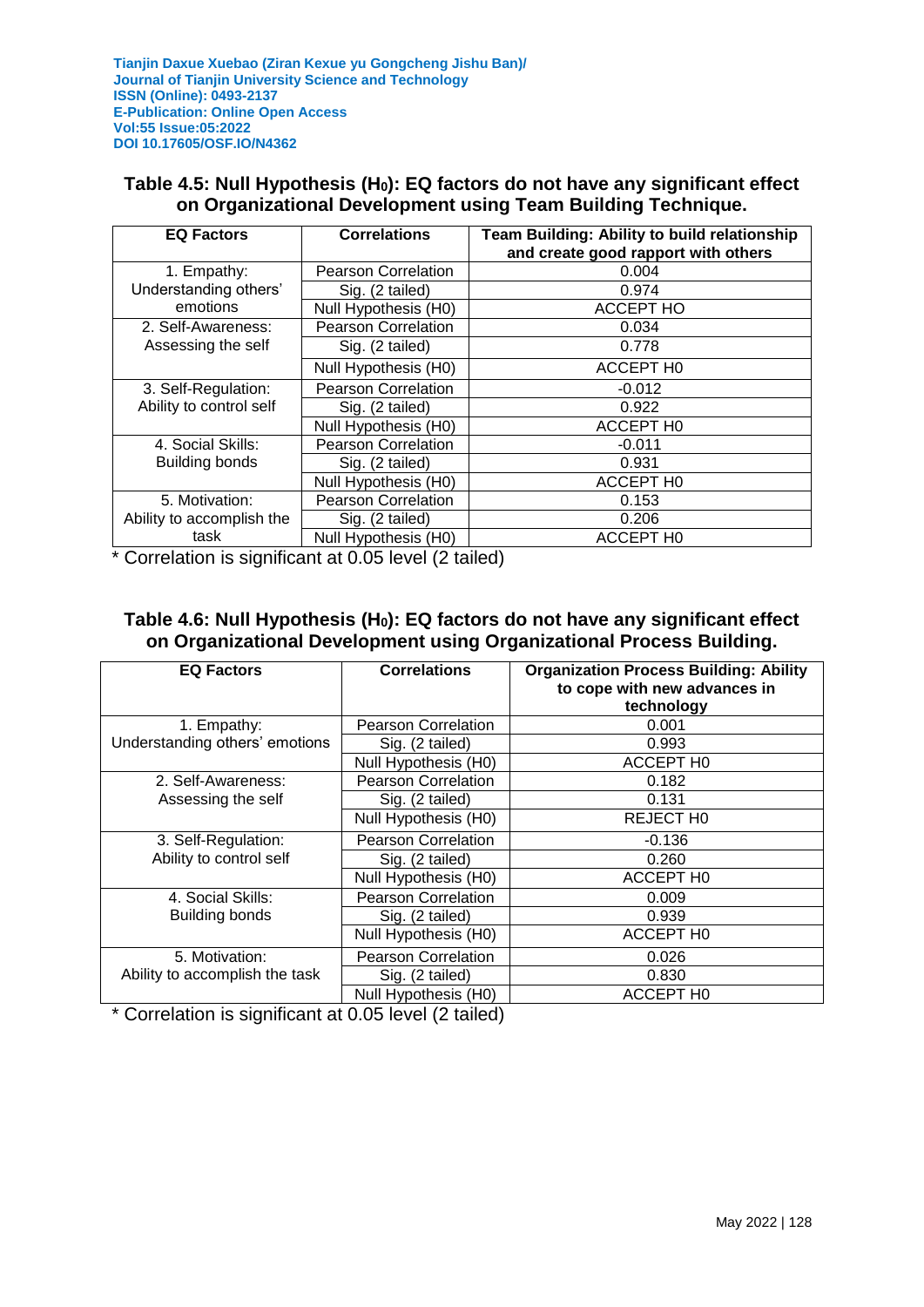### **Table 4.5: Null Hypothesis (H0): EQ factors do not have any significant effect on Organizational Development using Team Building Technique.**

| <b>EQ Factors</b>         | <b>Correlations</b>        | <b>Team Building: Ability to build relationship</b><br>and create good rapport with others |
|---------------------------|----------------------------|--------------------------------------------------------------------------------------------|
| 1. Empathy:               | <b>Pearson Correlation</b> | 0.004                                                                                      |
| Understanding others'     | Sig. (2 tailed)            | 0.974                                                                                      |
| emotions                  | Null Hypothesis (H0)       | <b>ACCEPT HO</b>                                                                           |
| 2. Self-Awareness:        | <b>Pearson Correlation</b> | 0.034                                                                                      |
| Assessing the self        | Sig. (2 tailed)            | 0.778                                                                                      |
|                           | Null Hypothesis (H0)       | ACCEPT HO                                                                                  |
| 3. Self-Regulation:       | <b>Pearson Correlation</b> | $-0.012$                                                                                   |
| Ability to control self   | Sig. (2 tailed)            | 0.922                                                                                      |
|                           | Null Hypothesis (H0)       | ACCEPT HO                                                                                  |
| 4. Social Skills:         | <b>Pearson Correlation</b> | $-0.011$                                                                                   |
| <b>Building bonds</b>     | Sig. (2 tailed)            | 0.931                                                                                      |
|                           | Null Hypothesis (H0)       | ACCEPT H0                                                                                  |
| 5. Motivation:            | <b>Pearson Correlation</b> | 0.153                                                                                      |
| Ability to accomplish the | Sig. (2 tailed)            | 0.206                                                                                      |
| task                      | Null Hypothesis (H0)       | <b>ACCEPT HO</b>                                                                           |

\* Correlation is significant at 0.05 level (2 tailed)

### **Table 4.6: Null Hypothesis (H0): EQ factors do not have any significant effect on Organizational Development using Organizational Process Building.**

| <b>EQ Factors</b>              | <b>Correlations</b>        | <b>Organization Process Building: Ability</b><br>to cope with new advances in<br>technology |
|--------------------------------|----------------------------|---------------------------------------------------------------------------------------------|
| 1. Empathy:                    | <b>Pearson Correlation</b> | 0.001                                                                                       |
| Understanding others' emotions | Sig. (2 tailed)            | 0.993                                                                                       |
|                                | Null Hypothesis (H0)       | <b>ACCEPT HO</b>                                                                            |
| 2. Self-Awareness:             | <b>Pearson Correlation</b> | 0.182                                                                                       |
| Assessing the self             | Sig. (2 tailed)            | 0.131                                                                                       |
|                                | Null Hypothesis (H0)       | <b>REJECT HO</b>                                                                            |
| 3. Self-Regulation:            | <b>Pearson Correlation</b> | $-0.136$                                                                                    |
| Ability to control self        | Sig. (2 tailed)            | 0.260                                                                                       |
|                                | Null Hypothesis (H0)       | <b>ACCEPT HO</b>                                                                            |
| 4. Social Skills:              | <b>Pearson Correlation</b> | 0.009                                                                                       |
| Building bonds                 | Sig. (2 tailed)            | 0.939                                                                                       |
|                                | Null Hypothesis (H0)       | <b>ACCEPT HO</b>                                                                            |
| 5. Motivation:                 | <b>Pearson Correlation</b> | 0.026                                                                                       |
| Ability to accomplish the task | Sig. (2 tailed)            | 0.830                                                                                       |
|                                | Null Hypothesis (H0)       | ACCEPT H0                                                                                   |

\* Correlation is significant at 0.05 level (2 tailed)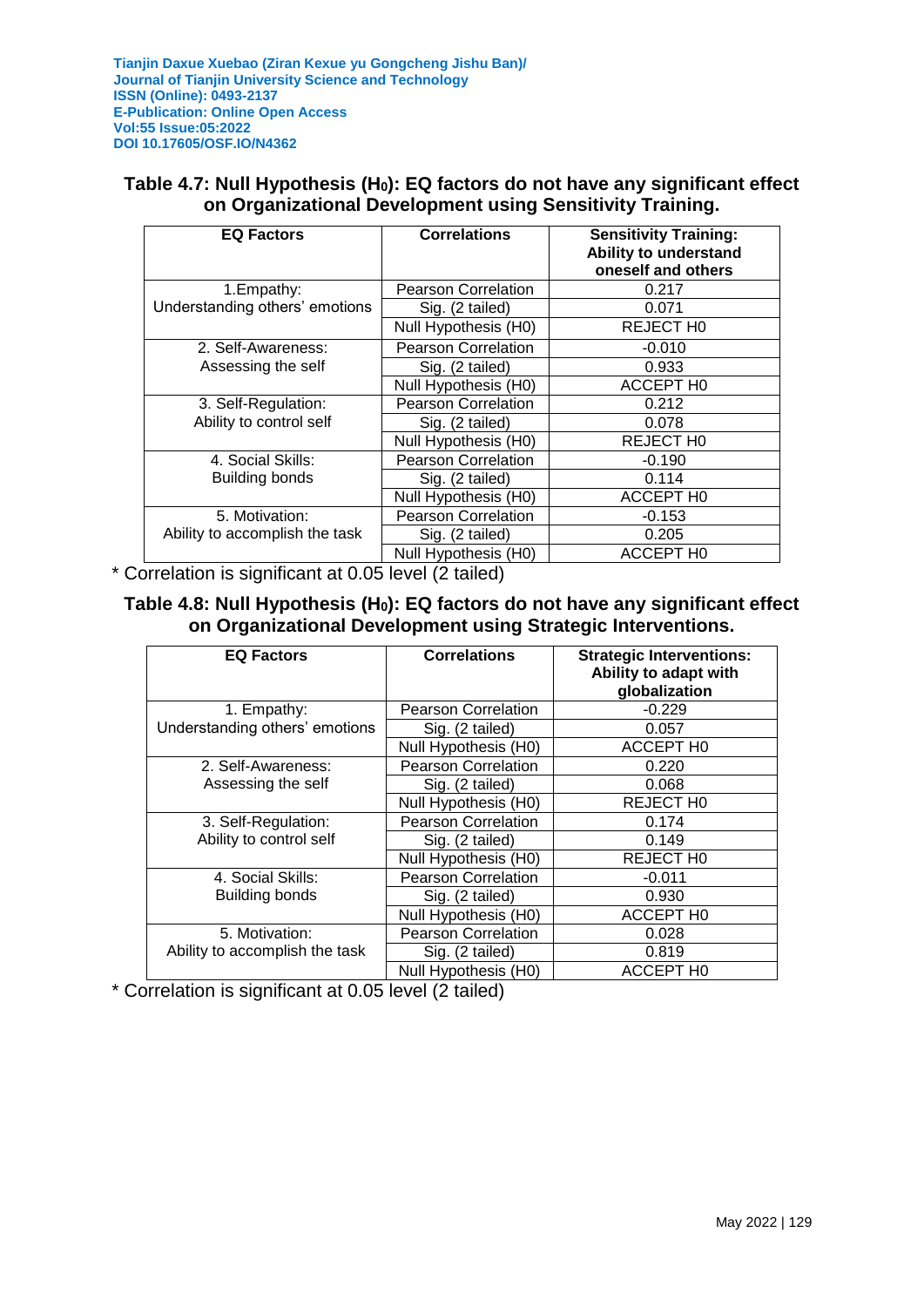### **Table 4.7: Null Hypothesis (H0): EQ factors do not have any significant effect on Organizational Development using Sensitivity Training.**

| <b>EQ Factors</b>              | <b>Correlations</b>        | <b>Sensitivity Training:</b><br>Ability to understand<br>oneself and others |
|--------------------------------|----------------------------|-----------------------------------------------------------------------------|
| 1. Empathy:                    | <b>Pearson Correlation</b> | 0.217                                                                       |
| Understanding others' emotions | Sig. (2 tailed)            | 0.071                                                                       |
|                                | Null Hypothesis (H0)       | <b>REJECT HO</b>                                                            |
| 2. Self-Awareness:             | <b>Pearson Correlation</b> | $-0.010$                                                                    |
| Assessing the self             | Sig. (2 tailed)            | 0.933                                                                       |
|                                | Null Hypothesis (H0)       | <b>ACCEPT HO</b>                                                            |
| 3. Self-Regulation:            | <b>Pearson Correlation</b> | 0.212                                                                       |
| Ability to control self        | Sig. (2 tailed)            | 0.078                                                                       |
|                                | Null Hypothesis (H0)       | REJECT HO                                                                   |
| 4. Social Skills:              | <b>Pearson Correlation</b> | $-0.190$                                                                    |
| <b>Building bonds</b>          | Sig. (2 tailed)            | 0.114                                                                       |
|                                | Null Hypothesis (H0)       | <b>ACCEPT HO</b>                                                            |
| 5. Motivation:                 | <b>Pearson Correlation</b> | $-0.153$                                                                    |
| Ability to accomplish the task | Sig. (2 tailed)            | 0.205                                                                       |
|                                | Null Hypothesis (H0)       | <b>ACCEPT HO</b>                                                            |

\* Correlation is significant at 0.05 level (2 tailed)

### **Table 4.8: Null Hypothesis (H0): EQ factors do not have any significant effect on Organizational Development using Strategic Interventions.**

| <b>EQ Factors</b>              | <b>Correlations</b>        | <b>Strategic Interventions:</b><br>Ability to adapt with<br>globalization |
|--------------------------------|----------------------------|---------------------------------------------------------------------------|
| 1. Empathy:                    | <b>Pearson Correlation</b> | $-0.229$                                                                  |
| Understanding others' emotions | Sig. (2 tailed)            | 0.057                                                                     |
|                                | Null Hypothesis (H0)       | <b>ACCEPT HO</b>                                                          |
| 2. Self-Awareness:             | <b>Pearson Correlation</b> | 0.220                                                                     |
| Assessing the self             | Sig. (2 tailed)            | 0.068                                                                     |
|                                | Null Hypothesis (H0)       | REJECT HO                                                                 |
| 3. Self-Regulation:            | <b>Pearson Correlation</b> | 0.174                                                                     |
| Ability to control self        | Sig. (2 tailed)            | 0.149                                                                     |
|                                | Null Hypothesis (H0)       | REJECT HO                                                                 |
| 4. Social Skills:              | <b>Pearson Correlation</b> | $-0.011$                                                                  |
| Building bonds                 | Sig. (2 tailed)            | 0.930                                                                     |
|                                | Null Hypothesis (H0)       | <b>ACCEPT HO</b>                                                          |
| 5. Motivation:                 | <b>Pearson Correlation</b> | 0.028                                                                     |
| Ability to accomplish the task | Sig. (2 tailed)            | 0.819                                                                     |
|                                | Null Hypothesis (H0)       | ACCEPT HO                                                                 |

\* Correlation is significant at 0.05 level (2 tailed)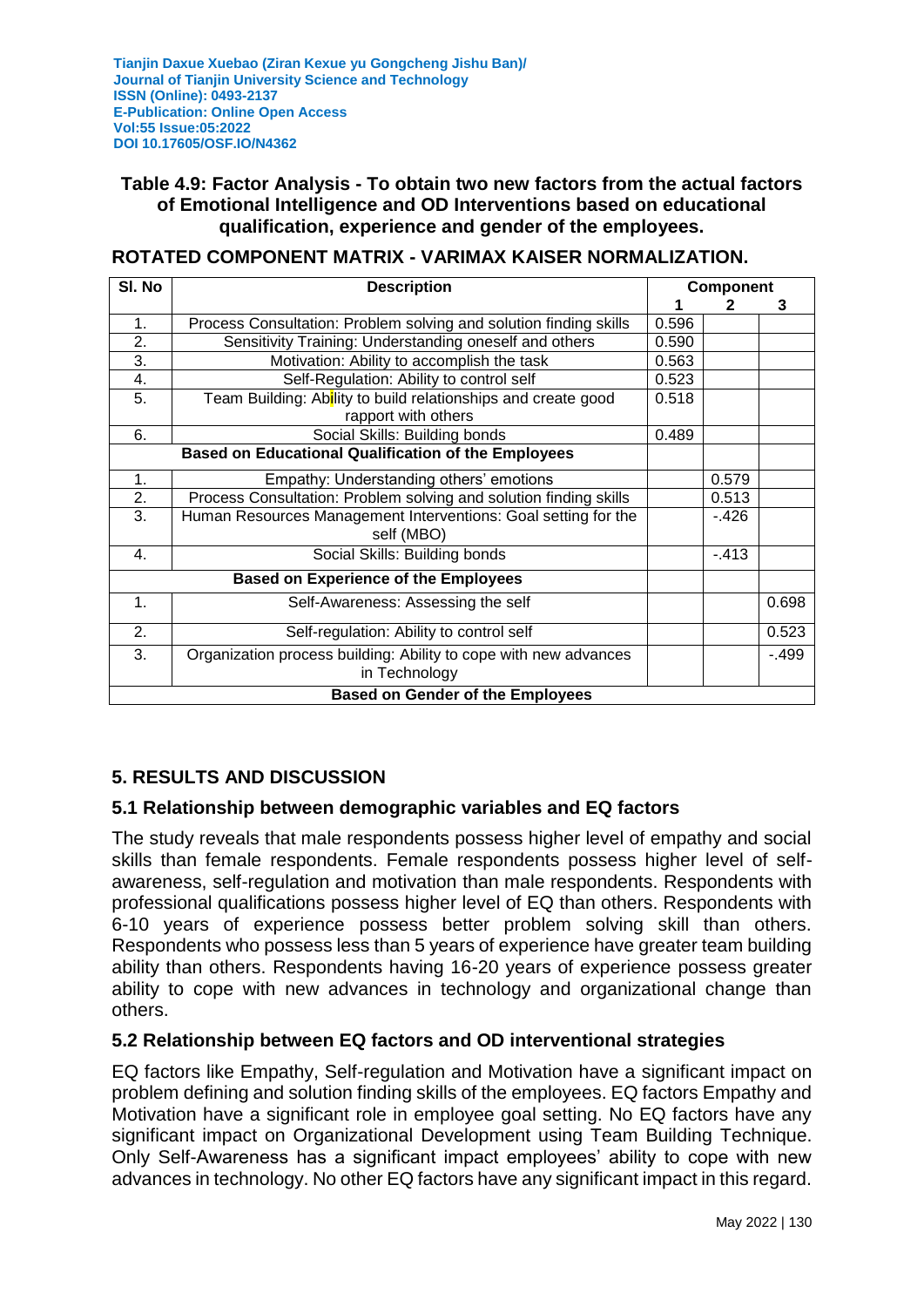### **Table 4.9: Factor Analysis - To obtain two new factors from the actual factors of Emotional Intelligence and OD Interventions based on educational qualification, experience and gender of the employees.**

#### **ROTATED COMPONENT MATRIX - VARIMAX KAISER NORMALIZATION.**

| SI. No         | <b>Description</b>                                                                | Component |        |        |
|----------------|-----------------------------------------------------------------------------------|-----------|--------|--------|
|                |                                                                                   |           |        | 3      |
| 1.             | Process Consultation: Problem solving and solution finding skills                 | 0.596     |        |        |
| 2.             | Sensitivity Training: Understanding oneself and others                            | 0.590     |        |        |
| 3.             | Motivation: Ability to accomplish the task                                        | 0.563     |        |        |
| 4.             | Self-Regulation: Ability to control self                                          | 0.523     |        |        |
| 5.             | Team Building: Ability to build relationships and create good                     | 0.518     |        |        |
|                | rapport with others                                                               |           |        |        |
| 6.             | Social Skills: Building bonds                                                     | 0.489     |        |        |
|                | <b>Based on Educational Qualification of the Employees</b>                        |           |        |        |
| 1.             | Empathy: Understanding others' emotions                                           |           | 0.579  |        |
| 2.             | Process Consultation: Problem solving and solution finding skills                 |           | 0.513  |        |
| 3.             | Human Resources Management Interventions: Goal setting for the<br>self (MBO)      |           | $-426$ |        |
| 4.             | Social Skills: Building bonds                                                     |           | $-413$ |        |
|                | <b>Based on Experience of the Employees</b>                                       |           |        |        |
| $\mathbf{1}$ . | Self-Awareness: Assessing the self                                                |           |        | 0.698  |
| 2.             | Self-regulation: Ability to control self                                          |           |        | 0.523  |
| 3.             | Organization process building: Ability to cope with new advances<br>in Technology |           |        | $-499$ |
|                | <b>Based on Gender of the Employees</b>                                           |           |        |        |

### **5. RESULTS AND DISCUSSION**

#### **5.1 Relationship between demographic variables and EQ factors**

The study reveals that male respondents possess higher level of empathy and social skills than female respondents. Female respondents possess higher level of selfawareness, self-regulation and motivation than male respondents. Respondents with professional qualifications possess higher level of EQ than others. Respondents with 6-10 years of experience possess better problem solving skill than others. Respondents who possess less than 5 years of experience have greater team building ability than others. Respondents having 16-20 years of experience possess greater ability to cope with new advances in technology and organizational change than others.

#### **5.2 Relationship between EQ factors and OD interventional strategies**

EQ factors like Empathy, Self-regulation and Motivation have a significant impact on problem defining and solution finding skills of the employees. EQ factors Empathy and Motivation have a significant role in employee goal setting. No EQ factors have any significant impact on Organizational Development using Team Building Technique. Only Self-Awareness has a significant impact employees' ability to cope with new advances in technology. No other EQ factors have any significant impact in this regard.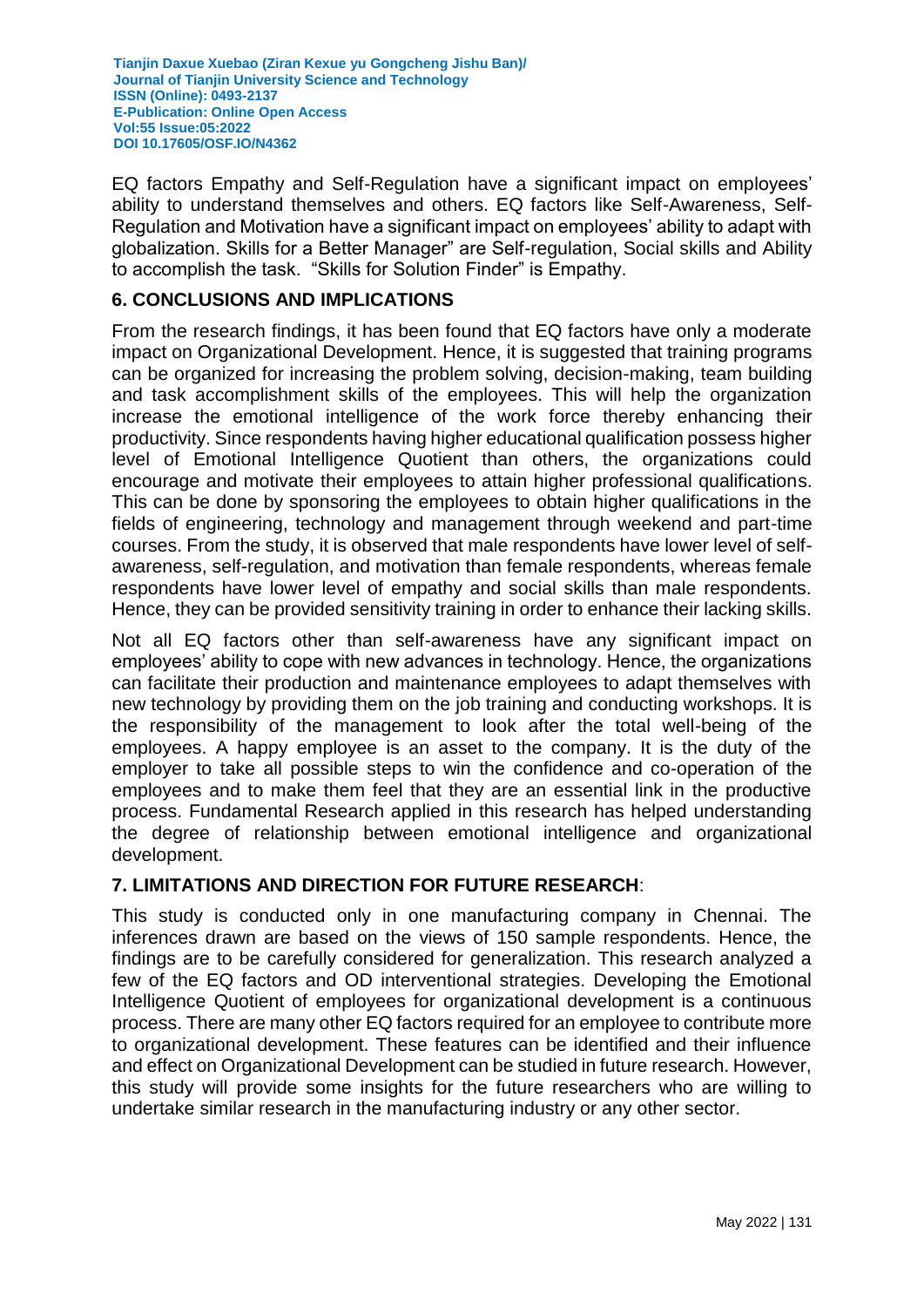EQ factors Empathy and Self-Regulation have a significant impact on employees' ability to understand themselves and others. EQ factors like Self-Awareness, Self-Regulation and Motivation have a significant impact on employees' ability to adapt with globalization. Skills for a Better Manager" are Self-regulation, Social skills and Ability to accomplish the task. "Skills for Solution Finder" is Empathy.

### **6. CONCLUSIONS AND IMPLICATIONS**

From the research findings, it has been found that EQ factors have only a moderate impact on Organizational Development. Hence, it is suggested that training programs can be organized for increasing the problem solving, decision-making, team building and task accomplishment skills of the employees. This will help the organization increase the emotional intelligence of the work force thereby enhancing their productivity. Since respondents having higher educational qualification possess higher level of Emotional Intelligence Quotient than others, the organizations could encourage and motivate their employees to attain higher professional qualifications. This can be done by sponsoring the employees to obtain higher qualifications in the fields of engineering, technology and management through weekend and part-time courses. From the study, it is observed that male respondents have lower level of selfawareness, self-regulation, and motivation than female respondents, whereas female respondents have lower level of empathy and social skills than male respondents. Hence, they can be provided sensitivity training in order to enhance their lacking skills.

Not all EQ factors other than self-awareness have any significant impact on employees' ability to cope with new advances in technology. Hence, the organizations can facilitate their production and maintenance employees to adapt themselves with new technology by providing them on the job training and conducting workshops. It is the responsibility of the management to look after the total well-being of the employees. A happy employee is an asset to the company. It is the duty of the employer to take all possible steps to win the confidence and co-operation of the employees and to make them feel that they are an essential link in the productive process. Fundamental Research applied in this research has helped understanding the degree of relationship between emotional intelligence and organizational development.

### **7. LIMITATIONS AND DIRECTION FOR FUTURE RESEARCH**:

This study is conducted only in one manufacturing company in Chennai. The inferences drawn are based on the views of 150 sample respondents. Hence, the findings are to be carefully considered for generalization. This research analyzed a few of the EQ factors and OD interventional strategies. Developing the Emotional Intelligence Quotient of employees for organizational development is a continuous process. There are many other EQ factors required for an employee to contribute more to organizational development. These features can be identified and their influence and effect on Organizational Development can be studied in future research. However, this study will provide some insights for the future researchers who are willing to undertake similar research in the manufacturing industry or any other sector.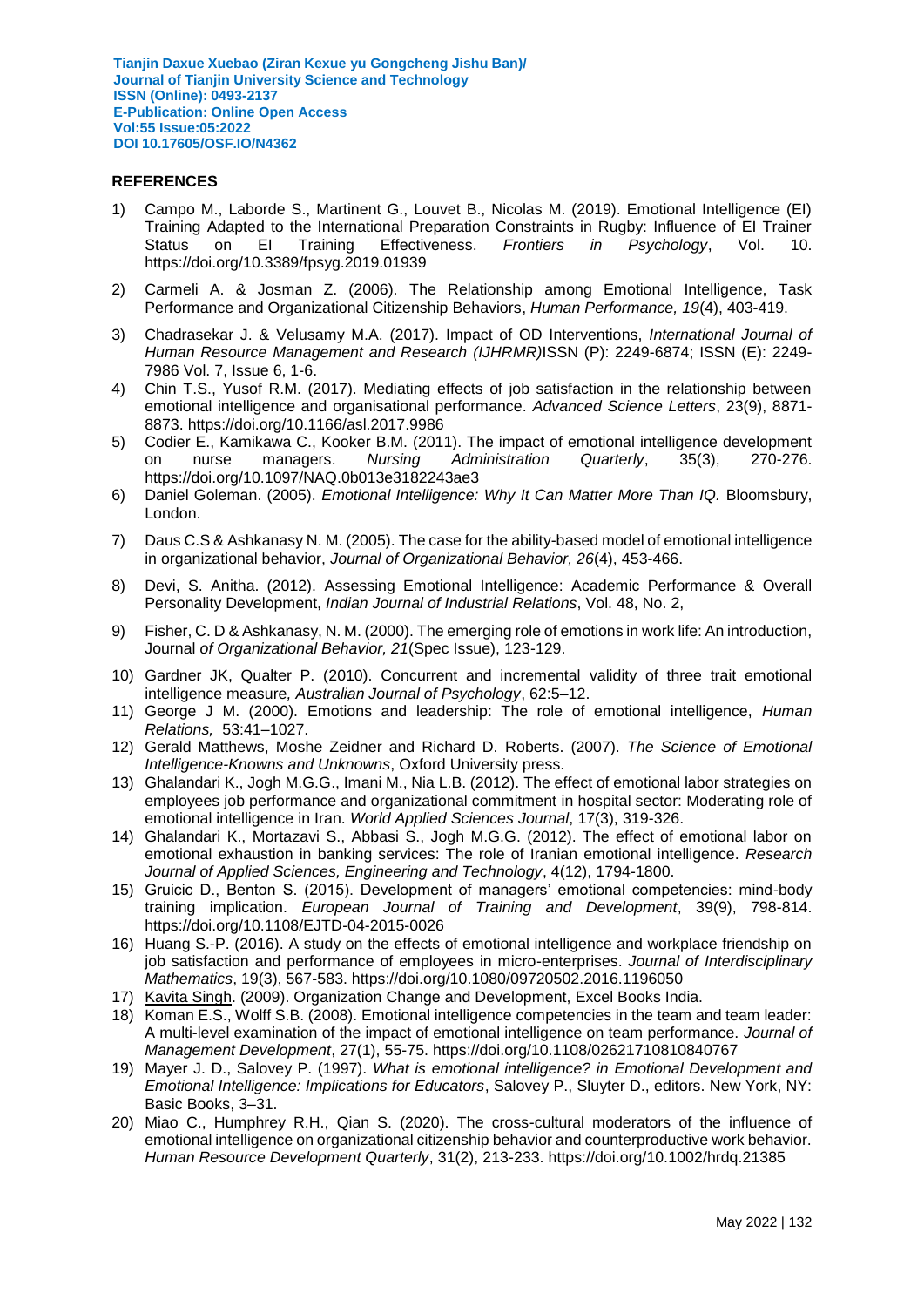#### **REFERENCES**

- 1) Campo M., Laborde S., Martinent G., Louvet B., Nicolas M. (2019). Emotional Intelligence (EI) Training Adapted to the International Preparation Constraints in Rugby: Influence of EI Trainer Status on EI Training Effectiveness. *Frontiers in Psychology*, Vol. 10. https://doi.org/10.3389/fpsyg.2019.01939
- 2) Carmeli A. & Josman Z. (2006). The Relationship among Emotional Intelligence, Task Performance and Organizational Citizenship Behaviors, *Human Performance, 19*(4), 403-419.
- 3) Chadrasekar J. & Velusamy M.A. (2017). Impact of OD Interventions, *International Journal of Human Resource Management and Research (IJHRMR)*ISSN (P): 2249-6874; ISSN (E): 2249- 7986 Vol. 7, Issue 6, 1-6.
- 4) Chin T.S., Yusof R.M. (2017). Mediating effects of job satisfaction in the relationship between emotional intelligence and organisational performance. *Advanced Science Letters*, 23(9), 8871- 8873. https://doi.org/10.1166/asl.2017.9986
- 5) Codier E., Kamikawa C., Kooker B.M. (2011). The impact of emotional intelligence development on nurse managers. *Nursing Administration Quarterly*, 35(3), 270-276. https://doi.org/10.1097/NAQ.0b013e3182243ae3
- 6) [Daniel Goleman.](http://www.amazon.com/Daniel-Goleman/e/B000APZC9O/ref=dp_byline_cont_book_1) (2005). *Emotional Intelligence: Why It Can Matter More Than IQ.* Bloomsbury, London.
- 7) Daus C.S & Ashkanasy N. M. (2005). The case for the ability-based model of emotional intelligence in organizational behavior, *Journal of Organizational Behavior, 26*(4), 453-466.
- 8) Devi, S. Anitha. (2012). Assessing Emotional Intelligence: Academic Performance & Overall Personality Development, *Indian Journal of Industrial Relations*, Vol. 48, No. 2,
- 9) Fisher, C. D & Ashkanasy, N. M. (2000). The emerging role of emotions in work life: An introduction, Journal *of Organizational Behavior, 21*(Spec Issue), 123-129.
- 10) Gardner JK, Qualter P. (2010). Concurrent and incremental validity of three trait emotional intelligence measure*, Australian Journal of Psychology*, 62:5–12.
- 11) George J M. (2000). Emotions and leadership: The role of emotional intelligence, *Human Relations,* 53:41–1027.
- 12) Gerald Matthews, Moshe Zeidner and Richard D. Roberts. (2007). *The Science of Emotional Intelligence-Knowns and Unknowns*, Oxford University press.
- 13) Ghalandari K., Jogh M.G.G., Imani M., Nia L.B. (2012). The effect of emotional labor strategies on employees job performance and organizational commitment in hospital sector: Moderating role of emotional intelligence in Iran. *World Applied Sciences Journal*, 17(3), 319-326.
- 14) Ghalandari K., Mortazavi S., Abbasi S., Jogh M.G.G. (2012). The effect of emotional labor on emotional exhaustion in banking services: The role of Iranian emotional intelligence. *Research Journal of Applied Sciences, Engineering and Technology*, 4(12), 1794-1800.
- 15) Gruicic D., Benton S. (2015). Development of managers' emotional competencies: mind-body training implication. *European Journal of Training and Development*, 39(9), 798-814. https://doi.org/10.1108/EJTD-04-2015-0026
- 16) Huang S.-P. (2016). A study on the effects of emotional intelligence and workplace friendship on job satisfaction and performance of employees in micro-enterprises. *Journal of Interdisciplinary Mathematics*, 19(3), 567-583. https://doi.org/10.1080/09720502.2016.1196050
- 17) [Kavita Singh.](http://www.google.co.in/search?tbo=p&tbm=bks&q=inauthor:%22Kavita+Singh%22) (2009). Organization Change and Development, Excel Books India.
- 18) Koman E.S., Wolff S.B. (2008). Emotional intelligence competencies in the team and team leader: A multi-level examination of the impact of emotional intelligence on team performance. *Journal of Management Development*, 27(1), 55-75. https://doi.org/10.1108/02621710810840767
- 19) Mayer J. D., Salovey P. (1997). *What is emotional intelligence? in Emotional Development and Emotional Intelligence: Implications for Educators*, Salovey P., Sluyter D., editors. New York, NY: Basic Books, 3–31.
- 20) Miao C., Humphrey R.H., Qian S. (2020). The cross-cultural moderators of the influence of emotional intelligence on organizational citizenship behavior and counterproductive work behavior. *Human Resource Development Quarterly*, 31(2), 213-233. https://doi.org/10.1002/hrdq.21385